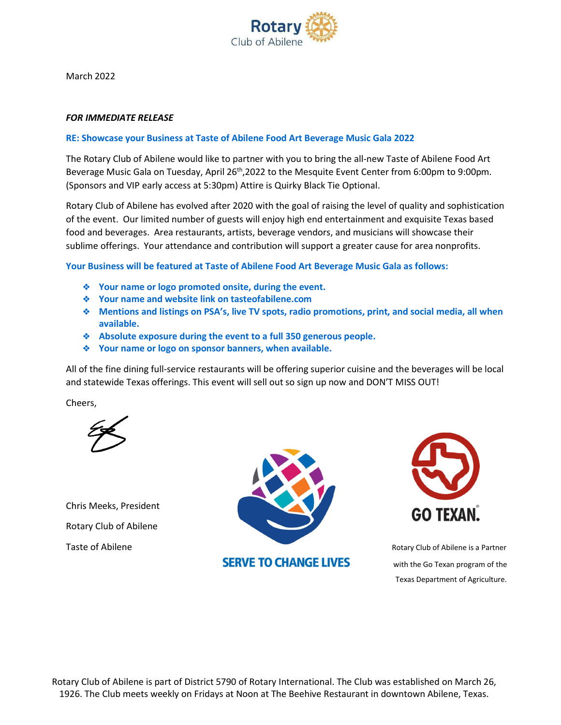

March 2022

### *FOR IMMEDIATE RELEASE*

### RE: Showcase your Business at Taste of Abilene Food Art Beverage Music Gala 2022

The Rotary Club of Abilene would like to partner with you to bring the all-new Taste of Abilene Food Art Beverage Music Gala on Tuesday, April 26<sup>th</sup>,2022 to the Mesquite Event Center from 6:00pm to 9:00pm. (Sponsors and VIP early access at 5:30pm) Attire is Quirky Black Tie Optional.

Rotary Club of Abilene has evolved after 2020 with the goal of raising the level of quality and sophistication of the event. Our limited number of guests will enjoy high end entertainment and exquisite Texas based food and beverages. Area restaurants, artists, beverage vendors, and musicians will showcase their sublime offerings. Your attendance and contribution will support a greater cause for area nonprofits.

Your Business will be featured at Taste of Abilene Food Art Beverage Music Gala as follows:

- ❖ Your name or logo promoted onsite, during the event.
- ❖ Your name and website link on tasteofabilene.com
- ❖ Mentions and listings on PSA's, live TV spots, radio promotions, print, and social media, all when available.
- ❖ Absolute exposure during the event to a full 350 generous people.
- ❖ Your name or logo on sponsor banners, when available.

All of the fine dining full-service restaurants will be offering superior cuisine and the beverages will be local and statewide Texas offerings. This event will sell out so sign up now and DON'T MISS OUT!

Cheers,

Chris Meeks, President Rotary Club of Abilene



**SERVE TO CHANGE LIVES** 



with the Go Texan program of the Texas Department of Agriculture.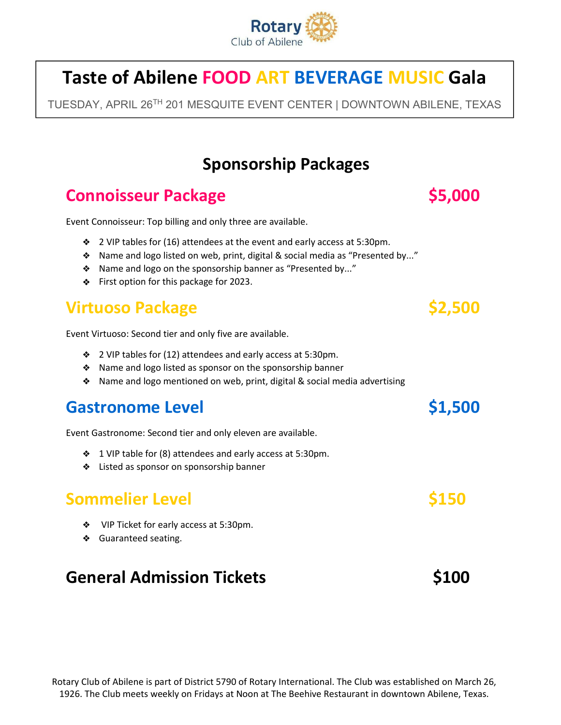

# Taste of Abilene FOOD ART BEVERAGE MUSIC Gala

TUESDAY, APRIL 26TH 201 MESQUITE EVENT CENTER | DOWNTOWN ABILENE, TEXAS

# Sponsorship Packages

# Connoisseur Package **\$5,000**

Event Connoisseur: Top billing and only three are available.

- ❖ 2 VIP tables for (16) attendees at the event and early access at 5:30pm.
- ❖ Name and logo listed on web, print, digital & social media as "Presented by..."
- ❖ Name and logo on the sponsorship banner as "Presented by..."
- ❖ First option for this package for 2023.

# Virtuoso Package  $\sim$  \$2,500

Event Virtuoso: Second tier and only five are available.

- ❖ 2 VIP tables for (12) attendees and early access at 5:30pm.
- ❖ Name and logo listed as sponsor on the sponsorship banner
- ❖ Name and logo mentioned on web, print, digital & social media advertising

## Gastronome Level **61,500**

Event Gastronome: Second tier and only eleven are available.

- ❖ 1 VIP table for (8) attendees and early access at 5:30pm.
- ❖ Listed as sponsor on sponsorship banner

## Sommelier Level **\$150**

- ❖ VIP Ticket for early access at 5:30pm.
- ❖ Guaranteed seating.

# General Admission Tickets **\$100**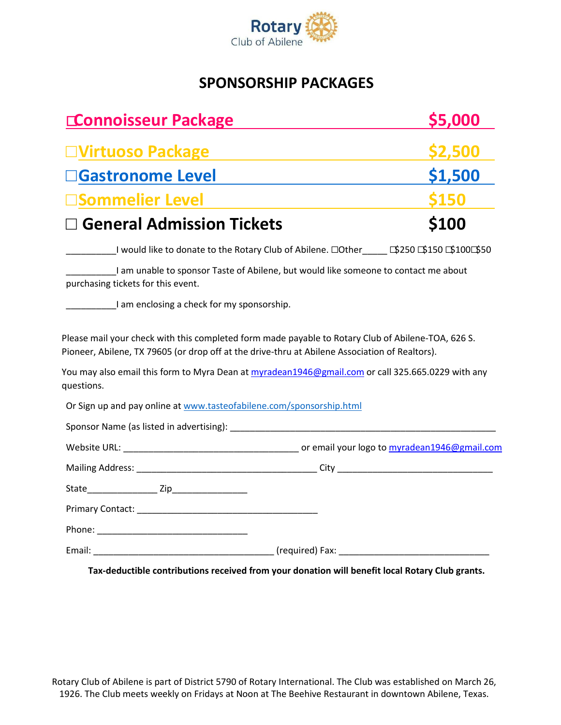

### SPONSORSHIP PACKAGES

| <b>Connoisseur Package</b>                                                                                                                                                                                                                                                                                              |                                                                                     | <b>S5,000</b> |
|-------------------------------------------------------------------------------------------------------------------------------------------------------------------------------------------------------------------------------------------------------------------------------------------------------------------------|-------------------------------------------------------------------------------------|---------------|
| <b>□Virtuoso Package</b>                                                                                                                                                                                                                                                                                                |                                                                                     | <b>S2.500</b> |
| <b>Gastronome Level</b>                                                                                                                                                                                                                                                                                                 |                                                                                     | \$1,500       |
| Sommelier Level                                                                                                                                                                                                                                                                                                         |                                                                                     | <b>S150</b>   |
| <b>General Admission Tickets</b>                                                                                                                                                                                                                                                                                        |                                                                                     | \$100         |
| Latin Universed Communication of Abilene. □Otherrich 150 1510 1510 1550 1550 1510 1550 1510 1550 1510 1550 15                                                                                                                                                                                                           |                                                                                     |               |
| purchasing tickets for this event.                                                                                                                                                                                                                                                                                      | I am unable to sponsor Taste of Abilene, but would like someone to contact me about |               |
| I am enclosing a check for my sponsorship.                                                                                                                                                                                                                                                                              |                                                                                     |               |
| Please mail your check with this completed form made payable to Rotary Club of Abilene-TOA, 626 S.<br>Pioneer, Abilene, TX 79605 (or drop off at the drive-thru at Abilene Association of Realtors).<br>You may also email this form to Myra Dean at myradean1946@gmail.com or call 325.665.0229 with any<br>questions. |                                                                                     |               |
| Or Sign up and pay online at www.tasteofabilene.com/sponsorship.html                                                                                                                                                                                                                                                    |                                                                                     |               |
|                                                                                                                                                                                                                                                                                                                         |                                                                                     |               |
|                                                                                                                                                                                                                                                                                                                         |                                                                                     |               |
|                                                                                                                                                                                                                                                                                                                         |                                                                                     |               |
|                                                                                                                                                                                                                                                                                                                         |                                                                                     |               |
|                                                                                                                                                                                                                                                                                                                         |                                                                                     |               |
|                                                                                                                                                                                                                                                                                                                         |                                                                                     |               |
|                                                                                                                                                                                                                                                                                                                         |                                                                                     |               |

Tax-deductible contributions received from your donation will benefit local Rotary Club grants.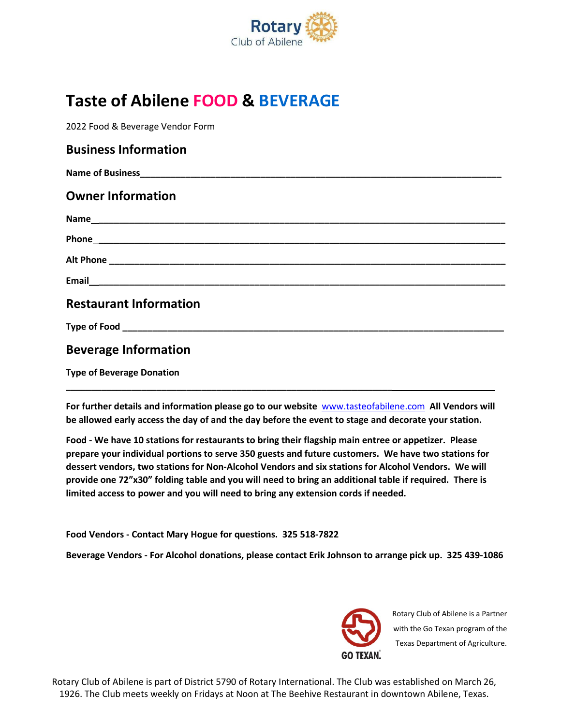

# Taste of Abilene FOOD & BEVERAGE

2022 Food & Beverage Vendor Form

| <b>Business Information</b>      |  |
|----------------------------------|--|
|                                  |  |
| <b>Owner Information</b>         |  |
|                                  |  |
|                                  |  |
|                                  |  |
|                                  |  |
| <b>Restaurant Information</b>    |  |
|                                  |  |
| <b>Beverage Information</b>      |  |
| <b>Type of Beverage Donation</b> |  |

For further details and information please go to our website www.tasteofabilene.com All Vendors will be allowed early access the day of and the day before the event to stage and decorate your station.

Food - We have 10 stations for restaurants to bring their flagship main entree or appetizer. Please prepare your individual portions to serve 350 guests and future customers. We have two stations for dessert vendors, two stations for Non-Alcohol Vendors and six stations for Alcohol Vendors. We will provide one 72"x30" folding table and you will need to bring an additional table if required. There is limited access to power and you will need to bring any extension cords if needed.

Food Vendors - Contact Mary Hogue for questions. 325 518-7822

\_\_\_\_\_\_\_\_\_\_\_\_\_\_\_\_\_\_\_\_\_\_\_\_\_\_\_\_\_\_\_\_\_\_\_\_\_\_\_\_\_\_\_\_\_\_\_\_\_\_\_\_\_\_\_\_\_\_\_\_\_\_\_\_\_

Beverage Vendors - For Alcohol donations, please contact Erik Johnson to arrange pick up. 325 439-1086



Rotary Club of Abilene is a Partner with the Go Texan program of the Texas Department of Agriculture.

Rotary Club of Abilene is part of District 5790 of Rotary International. The Club was established on March 26, 1926. The Club meets weekly on Fridays at Noon at The Beehive Restaurant in downtown Abilene, Texas.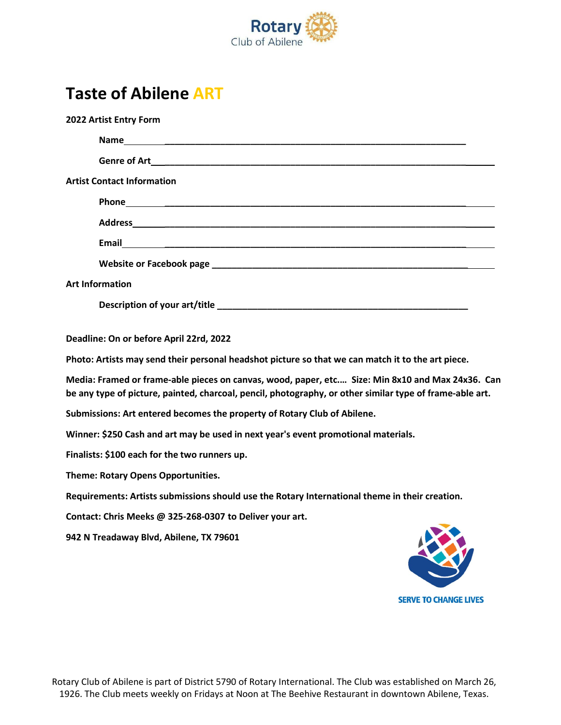

# Taste of Abilene ART

| 2022 Artist Entry Form                                                                                                                                                                                       |
|--------------------------------------------------------------------------------------------------------------------------------------------------------------------------------------------------------------|
| Name                                                                                                                                                                                                         |
|                                                                                                                                                                                                              |
| <b>Artist Contact Information</b>                                                                                                                                                                            |
|                                                                                                                                                                                                              |
|                                                                                                                                                                                                              |
|                                                                                                                                                                                                              |
|                                                                                                                                                                                                              |
| <b>Art Information</b>                                                                                                                                                                                       |
|                                                                                                                                                                                                              |
| Deadline: On or before April 22rd, 2022                                                                                                                                                                      |
| Photo: Artists may send their personal headshot picture so that we can match it to the art piece.                                                                                                            |
| Media: Framed or frame-able pieces on canvas, wood, paper, etc Size: Min 8x10 and Max 24x36. Can<br>be any type of picture, painted, charcoal, pencil, photography, or other similar type of frame-able art. |
| Submissions: Art entered becomes the property of Rotary Club of Abilene.                                                                                                                                     |
| Winner: \$250 Cash and art may be used in next year's event promotional materials.                                                                                                                           |
| Finalists: \$100 each for the two runners up.                                                                                                                                                                |
| Theme: Rotary Opens Opportunities.                                                                                                                                                                           |
| Requirements: Artists submissions should use the Rotary International theme in their creation.                                                                                                               |
| Contact: Chris Meeks @ 325-268-0307 to Deliver your art.                                                                                                                                                     |
| 942 N Treadaway Blvd, Abilene, TX 79601                                                                                                                                                                      |

**SERVE TO CHANGE LIVES**